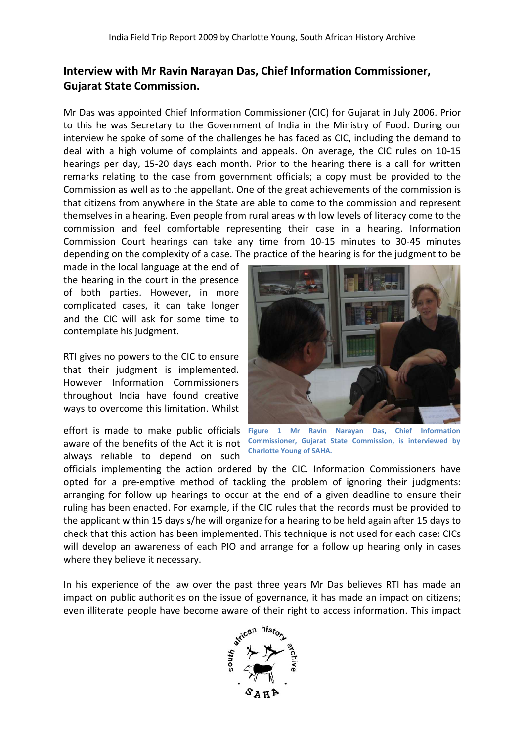## **Interview with Mr Ravin Narayan Das, Chief Information Commissioner, Gujarat State Commission.**

Mr Das was appointed Chief Information Commissioner (CIC) for Gujarat in July 2006. Prior to this he was Secretary to the Government of India in the Ministry of Food. During our interview he spoke of some of the challenges he has faced as CIC, including the demand to deal with a high volume of complaints and appeals. On average, the CIC rules on 10 10-15 hearings per day, 15-20 days each month. Prior to the hearing there is a call for written<br>remarks relating to the case from government officials; a copy must be provided to the remarks relating to the case from government officials; a copy must be provided to the Commission as well as to the appellant. One of the great achievements of the commission is that citizens from anywhere in the State are able to come to the commission and represent themselves in a hearing. Even people from rural areas with low levels of literacy come to the commission and feel comfortable representing their case in a hearing. Information Court hearings can take any time from 10-15 mi commission and feel comfortable representing their case in a hearing. Information Commission Court hearings can take any time from 10 10-15 minutes to 30 depending on the complexity of a case. The practice of the hearing is for the judgment to be

made in the local language at the end of the hearing in the court in the presence of both parties. However, in more complicated cases, it can take longer and the CIC will ask for some time to contemplate his judgment.

RTI gives no powers to the CIC to ensure that their judgment is implemented. However Information Commissioners throughout India have found creative ways to overcome this limitation. Whilst

aware of the benefits of the Act it is not always reliable to depend on such



effort is made to make public officials Figure 1 Mr Ravin Narayan Das, Chief Information **Commissioner, Gujarat State Commission, is interviewed by Charlotte Young of SAHA.**

officials implementing the action ordered by the CIC. Information Commissioners have opted for a pre-emptive method of tackling the problem of ignoring their judgments: arranging for follow up hearings to occur at the end of a given deadline to ensure their ruling has been enacted. For example, if the CIC rules that the records must be provided to the applicant within 15 days s/he will organize for a hearing to be held again after 15 days to check that this action has been implemented. This technique is not used for each case: CICs will develop an awareness of each PIO and arrange for a follow up hearing only in cases where they believe it necessary. ake public officials Figure 1 Mr Ravin Narayan Das, Chief Information; of the Act it is not Commissioner, Gujarat State Commission, is interviewed by depend on such Charlotte Young of SAHA.<br>
g the action ordered by the CIC

In his experience of the law over the past three years Mr Das believes RTI has made an impact on public authorities on the issue of governance, it has made an impact on citizens even illiterate people have become aware of their right to access information. This impact

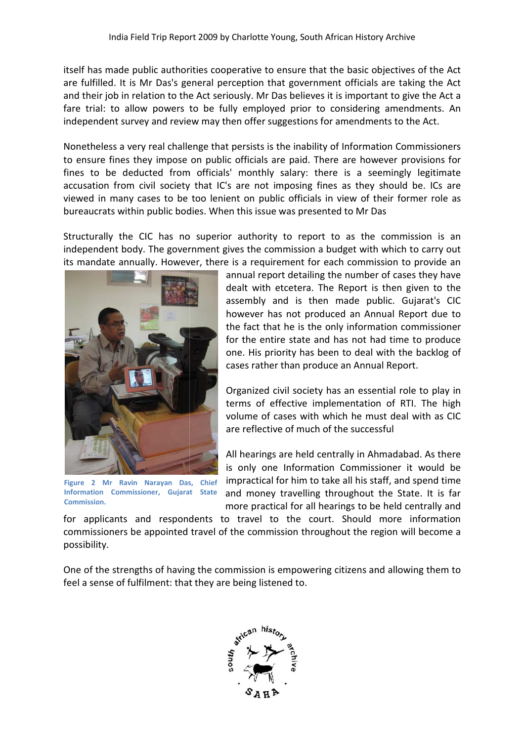itself has made public authorities cooperative to ensure that the basic objectives of the Act are fulfilled. It is Mr Das's general perception that government officials are taking the Act and their job in relation to the Act seriously. Mr Das believes it is important to give the Act a fare trial: to allow powers to be fully employed prior to considering amendments. An independent survey and review may then offer suggestions for amendments to the Act.

Nonetheless a very real challenge that persists is the inability of Information Commissioners to ensure fines they impose on public officials are paid. There are however provisions for fines to be deducted from officials' monthly salary: there is a seemingly legitimate accusation from civil society that IC's are not imposing fines as they should be. ICs are viewed in many cases to be too lenient on public officials in view of their former role as bureaucrats within public bodies. When this issue was presented to Mr Das

Structurally the CIC has no superior authority to report to as the commission is an independent body. The government gives the commission a budget with which to carry out its mandate annually. However, there is a requirement for each commission to provide an



**Figure 2 Mr Ravin Narayan Das, Chief Information Commissioner, Gujarat State Commission.**

annual report detailing the number of cases they have dealt with etcetera. The Report is then given to the assembly and is then made public. Gujarat's CIC however has not produced an Annual Report due to the fact that he is the only information commissioner for the entire state and has not had time to produce one. His priority has been to deal with the backlog of cases rather than produce an Annual Report. real challenge that persists is the inability of information Commissioners<br>
rate from officials are paid. There are however provisions for<br>
rate are however provisions for<br>
rate are not imposing fines as they should be. IC

Organized civil society has an essential role to play in terms of effective implementation of RTI. The high volume of cases with which he must deal with as CIC are reflective of much of the successful

All hearings are held centrally in Ahmadabad. As there is only one Information Commissioner it would be impractical for him to take all his staff, and spend time and money travelling throughout the State. It is far more practical for all hearings to be held centrally and

for applicants and respondents to travel to the court. Should more information commissioners be appointed travel of the commission throughout the region will becom possibility.

One of the strengths of having the commission is empowering citizens and allowing them to feel a sense of fulfilment: that they are being listened to.